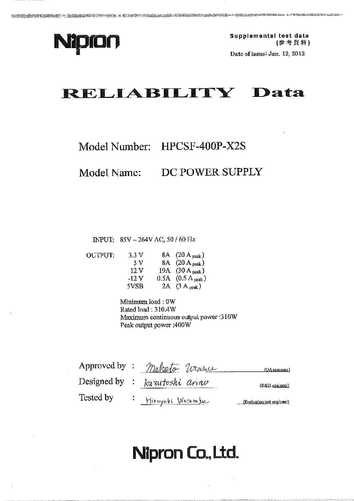

Supplemental test data (参考資料)

Date of issue: Jan. 12, 2012

# RELIABILITY Data

## Model Number: HPCSF-400P-X2S

DC POWER SUPPLY Model Name:

INPUT: 85V - 264V AC, 50 / 60 Hz

**OUTPUT:** 

| 3.3V  | 8A $(20 \text{ A}_{peak})$           |
|-------|--------------------------------------|
| - 5 V | 8A $(20 \text{ A} _{\text{peak}})$   |
| 12 V  | 19A $(30 \text{ A}{}_{\text{peak}})$ |
| -12 V | 0.5A $(0.5 \Lambda_{peak})$          |
| 5VSB  | 2A $(3 A_{peak})$                    |

Minimum load: 0W Rated load: 310.4W Maximum continuous output power :310W Peak output power: 400W

|           | Approved by: Maketo Wassue       | (OA manager)               |
|-----------|----------------------------------|----------------------------|
|           | Designed by : $ka$ autoshi aring | $(R&D)$ sugineer)          |
| Tested by | · Hivoyaki Wasamber              | (Evaluation test engineer) |

# Nipron Co., Ltd.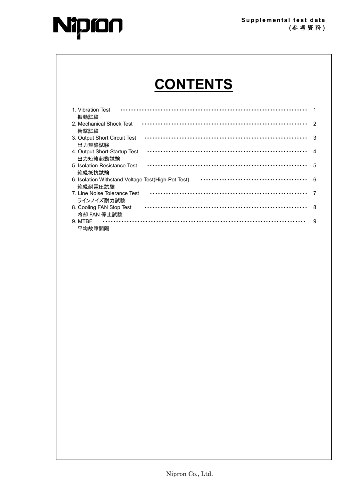



# **CONTENTS**

| 1. Vibration Test<br>振動試験                                      |    |
|----------------------------------------------------------------|----|
| 2. Mechanical Shock Test<br>衝撃試験                               |    |
| 3. Output Short Circuit Test<br>出力短絡試験                         | 3  |
| 4. Output Short-Startup Test<br>出力短絡起動試験                       |    |
| 5. Isolation Resistance Test<br>絶縁抵抗試験                         | .5 |
| 6. Isolation Withstand Voltage Test (High-Pot Test)<br>絶縁耐雷圧試験 | 6  |
| 7. Line Noise Tolerance Test<br>ラインノイズ耐力試験                     |    |
| 8. Cooling FAN Stop Test                                       | 8  |
| 冷却 FAN 停止試験<br>9. MTBF                                         | 9  |
| 平均故障間隔                                                         |    |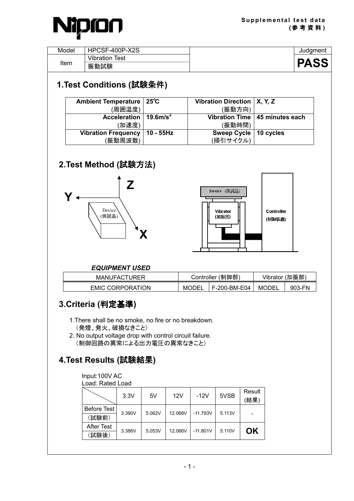

| Model | $\sqrt{2}$<br>$\sim$ $\sim$ $\sim$<br><u>. д.</u><br>. .<br>∼ |          |
|-------|---------------------------------------------------------------|----------|
| Item  | $\cdots$<br>est<br>'IL                                        |          |
|       | <br>œm<br>恢<br>口八河大                                           | U<br>. . |

| Ambient Temperature   25°C          |                   | Vibration Direction   X, Y, Z |                                  |
|-------------------------------------|-------------------|-------------------------------|----------------------------------|
| (周囲温度)                              |                   | (振動方向)                        |                                  |
| Acceleration   19.6m/s <sup>2</sup> |                   |                               | Vibration Time   45 minutes each |
| (加速度)                               |                   | (振動時間)                        |                                  |
| <b>Vibration Frequency</b>          | $\vert$ 10 - 55Hz | Sweep Cycle   10 cycles       |                                  |
| (振動周波数)                             |                   | (掃引サイクル)                      |                                  |

#### **2.Test Method (**試験方法**)**





#### *EQUIPMENT USED*

| <b>MANUFACTURER</b>     | Controller (制御部) |                | Vibrator (加振部) |        |  |
|-------------------------|------------------|----------------|----------------|--------|--|
| <b>EMIC CORPORATION</b> | MODEI            | F-200-BM-E04 I | MODEL          | 903-FN |  |

## **3.Criteria (**判定基準**)**

- 1.There shall be no smoke, no fire or no breakdown. (発煙、発火、破損なきこと)
- 2. No output voltage drop with control circuit failure. (制御回路の異常による出力電圧の異常なきこと)

## **4.Test Results (**試験結果**)**

#### Input:100V AC

|             | 3.3V   | 5V     | 12V     | $-12V$     | 5VSB   | Result<br>(結果) |
|-------------|--------|--------|---------|------------|--------|----------------|
| Before Test | 3.390V | 5.062V | 12.068V | $-11.793V$ | 5.113V |                |
| (試験前)       |        |        |         |            |        |                |
| After Test  | 3.386V | 5.053V | 12.066V | $-11.801V$ | 5.110V | ΟK             |
| (試験後)       |        |        |         |            |        |                |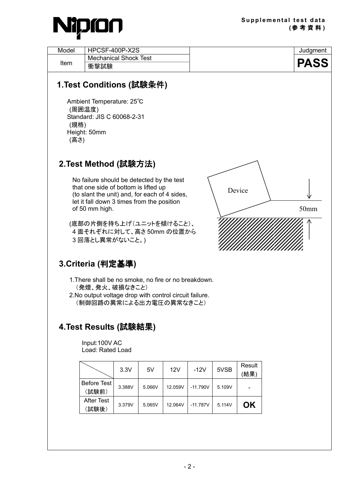

| Model        | HPCSF-400P-X2S<br><b>Mechanical Shock Test</b>                                                                                                                                        |      |    |     |        |      |                | Judgment    |
|--------------|---------------------------------------------------------------------------------------------------------------------------------------------------------------------------------------|------|----|-----|--------|------|----------------|-------------|
| Item         | 衝撃試験                                                                                                                                                                                  |      |    |     |        |      |                | <b>PASS</b> |
| (規格)<br>(高さ) | 1.Test Conditions (試験条件)<br>Ambient Temperature: 25°C<br>(周囲温度)<br>Standard: JIS C 60068-2-31<br>Height: 50mm                                                                         |      |    |     |        |      |                |             |
|              | 2.Test Method (試験方法)                                                                                                                                                                  |      |    |     |        |      |                |             |
|              | No failure should be detected by the test                                                                                                                                             |      |    |     |        |      |                |             |
|              | that one side of bottom is lifted up<br>(to slant the unit) and, for each of 4 sides,                                                                                                 |      |    |     |        |      | Device         |             |
|              | let it fall down 3 times from the position<br>of 50 mm high.                                                                                                                          |      |    |     |        |      |                | 50mm        |
|              | (底部の片側を持ち上げ(ユニットを傾けること)、<br>4 面それぞれに対して、高さ 50mm の位置から<br>3回落とし異常がないこと。)                                                                                                               |      |    |     |        |      |                |             |
|              | 3.Criteria (判定基準)                                                                                                                                                                     |      |    |     |        |      |                |             |
|              | 1. There shall be no smoke, no fire or no breakdown.<br>(発煙、発火、破損なきこと)<br>2. No output voltage drop with control circuit failure.<br>(制御回路の異常による出力電圧の異常なきこと)<br>4.Test Results (試験結果) |      |    |     |        |      |                |             |
|              |                                                                                                                                                                                       |      |    |     |        |      |                |             |
|              | Input:100V AC<br>Load: Rated Load                                                                                                                                                     |      |    |     |        |      |                |             |
|              |                                                                                                                                                                                       | 3.3V | 5V | 12V | $-12V$ | 5VSB | Result<br>(結果) |             |
|              |                                                                                                                                                                                       |      |    |     |        |      |                |             |

|                            | ა.აv   | ЮV.    | 1 Z V   | $-12V$     | סטעס   | '結果) |
|----------------------------|--------|--------|---------|------------|--------|------|
| Before Test<br>(試験前)       | 3.388V | 5.066V | 12.059V | $-11.790V$ | 5.109V |      |
| <b>After Test</b><br>〔試験後) | 3.379V | 5.065V | 12 064V | $-11787V$  | 5.114V | ΩK   |

- 2 -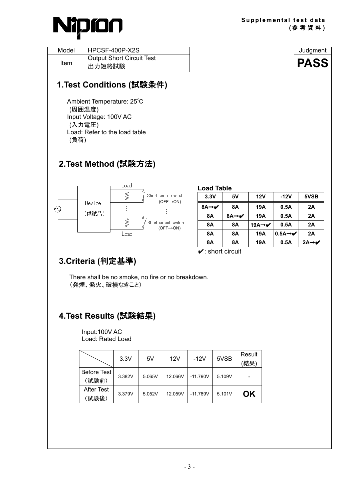

| Model | HPCSF-400P-X2S                                 | Judament    |
|-------|------------------------------------------------|-------------|
| Item  | <b>Output Short Circuit Test</b><br>力短絡試験<br>出 | <b>PASS</b> |

 Ambient Temperature: 25℃ (周囲温度) Input Voltage: 100V AC (入力電圧) Load: Refer to the load table (負荷)

#### **2.Test Method (**試験方法**)**



| <b>Load Table</b>                     |      |                                |                                |                      |  |  |  |  |
|---------------------------------------|------|--------------------------------|--------------------------------|----------------------|--|--|--|--|
| 3.3V                                  | 5٧   | 12V                            | $-12V$                         | 5VSB                 |  |  |  |  |
| 8A $\rightarrow$ $\checkmark$         | 8Α   | 19A                            | 0.5A                           | 2A                   |  |  |  |  |
| 8Α                                    | 8A→✔ | 19A                            | 0.5A                           | 2A                   |  |  |  |  |
| 8Α                                    | 8Α   | 19A $\rightarrow$ $\checkmark$ | 0.5A                           | 2A                   |  |  |  |  |
| 8Α                                    | 8Α   | 19A                            | $0.5A \rightarrow \mathcal{V}$ | 2A                   |  |  |  |  |
| 8Α                                    | 8Α   | 19A                            | 0.5A                           | $2A \rightarrow \nu$ |  |  |  |  |
| $\mathbf{\checkmark}$ : short circuit |      |                                |                                |                      |  |  |  |  |

#### **3.Criteria (**判定基準**)**

There shall be no smoke, no fire or no breakdown. (発煙、発火、破損なきこと)

#### **4.Test Results (**試験結果**)**

Input:100V AC Load: Rated Load

|                            | 3.3V   | 5V     | 12V     | -12V       | 5VSB   | Result<br>(結果) |
|----------------------------|--------|--------|---------|------------|--------|----------------|
| Before Test<br>(試験前)       | 3.382V | 5.065V | 12.066V | $-11.790V$ | 5.109V |                |
| <b>After Test</b><br>(試験後) | 3.379V | 5.052V | 12.059V | $-11.789V$ | 5.101V | OK             |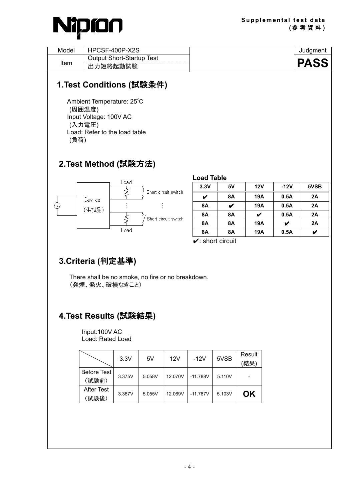

| Model | HPCSF-400P-X2S                   | Judament   |
|-------|----------------------------------|------------|
|       | <b>Output Short-Startup Test</b> |            |
| Item  | 力短絡起動試験                          | PA!<br>lod |

 Ambient Temperature: 25℃ (周囲温度) Input Voltage: 100V AC (入力電圧) Load: Refer to the load table (負荷)

#### **2.Test Method (**試験方法**)**



| <b>Load Table</b>                    |    |     |        |      |
|--------------------------------------|----|-----|--------|------|
| 3.3V                                 | 5V | 12V | $-12V$ | 5VSB |
|                                      | 8Α | 19A | 0.5A   | 2A   |
| <b>8A</b>                            |    | 19A | 0.5A   | 2A   |
| <b>8A</b>                            | 8Α | V   | 0.5A   | 2A   |
| <b>8A</b>                            | 8Α | 19A |        | 2A   |
| <b>8A</b>                            | 8Α | 19A | 0.5A   |      |
| $\mathbf{\check{v}}$ : short circuit |    |     |        |      |

#### **3.Criteria (**判定基準**)**

There shall be no smoke, no fire or no breakdown. (発煙、発火、破損なきこと)

#### **4.Test Results (**試験結果**)**

Input:100V AC Load: Rated Load

|                            | 3.3V   | 5V     | 12V     | -12V       | 5VSB   | Result<br>(結果) |
|----------------------------|--------|--------|---------|------------|--------|----------------|
| Before Test<br>(試験前)       | 3.375V | 5.058V | 12.070V | $-11.788V$ | 5.110V |                |
| <b>After Test</b><br>(試験後) | 3.367V | 5.055V | 12.069V | $-11.787V$ | 5.103V | OK             |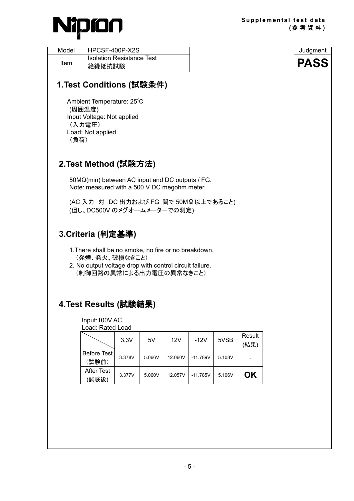

| Model | $-400P-X2S$<br>⊐י<br><b>HPC</b><br>וכי | Judament |
|-------|----------------------------------------|----------|
| Item  | <b>Isolation Resistance</b><br>Test    | 7Д.      |
|       | 絶縁抵抗試験                                 |          |

 Ambient Temperature: 25℃ (周囲温度) Input Voltage: Not applied (入力電圧) Load: Not applied (負荷)

#### **2.Test Method (**試験方法**)**

50MΩ(min) between AC input and DC outputs / FG. Note: measured with a 500 V DC megohm meter.

(AC 入力 対 DC 出力および FG 間で 50MΩ以上であること) (但し、DC500V のメグオームメーターでの測定)

#### **3.Criteria (**判定基準**)**

- 1.There shall be no smoke, no fire or no breakdown. (発煙、発火、破損なきこと)
- 2. No output voltage drop with control circuit failure. (制御回路の異常による出力電圧の異常なきこと)

#### **4.Test Results (**試験結果**)**

Input:100V AC

| Load: Rated Load |  |
|------------------|--|
|------------------|--|

|                            | 3.3V   | 5V     | 12V     | $-12V$     | 5VSB   | Result<br>(結果) |
|----------------------------|--------|--------|---------|------------|--------|----------------|
| Before Test<br>(試験前)       | 3.378V | 5.066V | 12.060V | $-11.789V$ | 5.108V |                |
| <b>After Test</b><br>(試験後) | 3.377V | 5.060V | 12.057V | $-11.785V$ | 5.106V | ΟK             |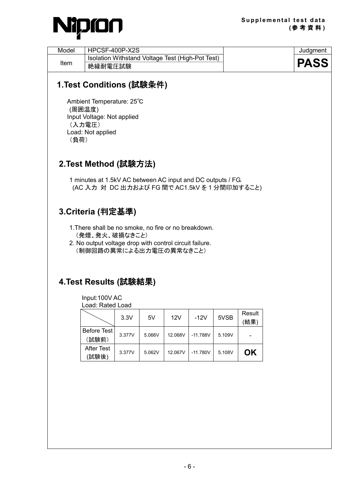

| Model | HPCSF-400P-X2S                                              | Judament    |
|-------|-------------------------------------------------------------|-------------|
| Item  | Isolation Withstand Voltage Test (High-Pot Test)<br>絶縁耐電圧試験 | <b>PASS</b> |

 Ambient Temperature: 25℃ (周囲温度) Input Voltage: Not applied (入力電圧) Load: Not applied (負荷)

#### **2.Test Method (**試験方法**)**

1 minutes at 1.5kV AC between AC input and DC outputs / FG. (AC 入力 対 DC 出力および FG 間で AC1.5kV を 1 分間印加すること)

#### **3.Criteria (**判定基準**)**

- 1.There shall be no smoke, no fire or no breakdown. (発煙、発火、破損なきこと)
- 2. No output voltage drop with control circuit failure. (制御回路の異常による出力電圧の異常なきこと)

#### **4.Test Results (**試験結果**)**

Input:100V AC Load: Rated Load

|                      | 3.3V   | 5V     | 12V     | -12V       | 5VSB   | Result<br>(結果) |
|----------------------|--------|--------|---------|------------|--------|----------------|
| Before Test<br>(試験前) | 3.377V | 5.066V | 12.068V | $-11.788V$ | 5.109V |                |
| After Test<br>(試験後)  | 3.377V | 5.062V | 12.067V | $-11.780V$ | 5.108V | ΟK             |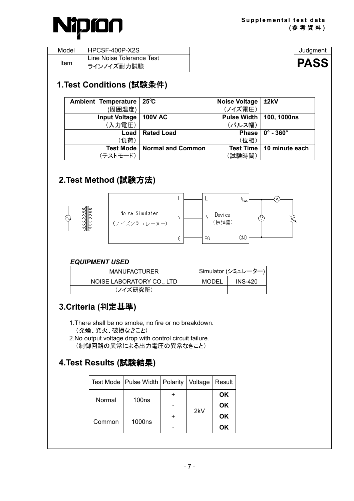

| Model | HPCSF-400P-X2S               | Judament    |
|-------|------------------------------|-------------|
|       | Line Noise Tolerance<br>Test |             |
| Item  | イズ耐力試験<br>-<br>レノイニ          | <b>PASS</b> |

| Ambient Temperature   25°C |                                      | <b>Noise Voltage</b>      | ±2kV                     |
|----------------------------|--------------------------------------|---------------------------|--------------------------|
| (周囲温度)                     |                                      | (ノイズ電圧)                   |                          |
| Input Voltage              | 100V AC                              | Pulse Width   100, 1000ns |                          |
| (入力電圧)                     |                                      | (パルス幅)                    |                          |
| Load                       | <b>Rated Load</b>                    | <b>Phase</b>              | $0^\circ$ - 360 $^\circ$ |
| (負荷)                       |                                      | (位相)                      |                          |
|                            | <b>Test Mode   Normal and Common</b> | <b>Test Time</b>          | 10 minute each           |
| (テストモード)                   |                                      | (試験時間)                    |                          |

#### **2.Test Method (**試験方法**)**



#### *EQUIPMENT USED*

| <b>MANUFACTURER</b>       |       | Simulator (シミュレーター) |
|---------------------------|-------|---------------------|
| NOISE LABORATORY CO., LTD | MODEL | INS-420             |
| (ノイズ研究所)                  |       |                     |

#### **3.Criteria (**判定基準**)**

- 1.There shall be no smoke, no fire or no breakdown. (発煙、発火、破損なきこと)
- 2.No output voltage drop with control circuit failure. (制御回路の異常による出力電圧の異常なきこと)

#### **4.Test Results (**試験結果**)**

|        | Test Mode   Pulse Width   Polarity |  | Voltage | Result |
|--------|------------------------------------|--|---------|--------|
| Normal | 100 <sub>ns</sub>                  |  | 2kV     | ΟK     |
|        |                                    |  |         | OK     |
| Common | 1000ns                             |  |         | OK     |
|        |                                    |  |         | ΟK     |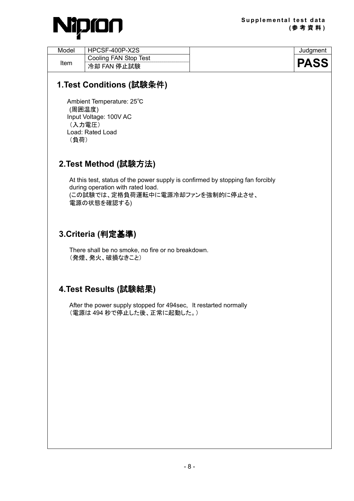

| Model | HPCSF-400P-X2S        | Judament    |
|-------|-----------------------|-------------|
| Item  | Cooling FAN Stop Test |             |
|       | 冷却 FAN 停止試験           | <b>PASS</b> |

 Ambient Temperature: 25℃ (周囲温度) Input Voltage: 100V AC (入力電圧) Load: Rated Load (負荷)

#### **2.Test Method (**試験方法**)**

At this test, status of the power supply is confirmed by stopping fan forcibly during operation with rated load. (この試験では、定格負荷運転中に電源冷却ファンを強制的に停止させ、 電源の状態を確認する)

#### **3.Criteria (**判定基準**)**

There shall be no smoke, no fire or no breakdown. (発煙、発火、破損なきこと)

#### **4.Test Results (**試験結果**)**

After the power supply stopped for 494sec, It restarted normally (電源は 494 秒で停止した後、正常に起動した。)